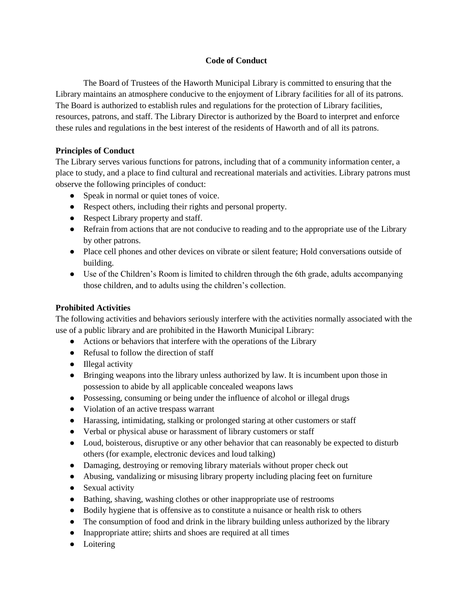## **Code of Conduct**

The Board of Trustees of the Haworth Municipal Library is committed to ensuring that the Library maintains an atmosphere conducive to the enjoyment of Library facilities for all of its patrons. The Board is authorized to establish rules and regulations for the protection of Library facilities, resources, patrons, and staff. The Library Director is authorized by the Board to interpret and enforce these rules and regulations in the best interest of the residents of Haworth and of all its patrons.

## **Principles of Conduct**

The Library serves various functions for patrons, including that of a community information center, a place to study, and a place to find cultural and recreational materials and activities. Library patrons must observe the following principles of conduct:

- Speak in normal or quiet tones of voice.
- Respect others, including their rights and personal property.
- Respect Library property and staff.
- Refrain from actions that are not conducive to reading and to the appropriate use of the Library by other patrons.
- Place cell phones and other devices on vibrate or silent feature; Hold conversations outside of building.
- Use of the Children's Room is limited to children through the 6th grade, adults accompanying those children, and to adults using the children's collection.

## **Prohibited Activities**

The following activities and behaviors seriously interfere with the activities normally associated with the use of a public library and are prohibited in the Haworth Municipal Library:

- Actions or behaviors that interfere with the operations of the Library
- Refusal to follow the direction of staff
- Illegal activity
- Bringing weapons into the library unless authorized by law. It is incumbent upon those in possession to abide by all applicable concealed weapons laws
- Possessing, consuming or being under the influence of alcohol or illegal drugs
- Violation of an active trespass warrant
- Harassing, intimidating, stalking or prolonged staring at other customers or staff
- Verbal or physical abuse or harassment of library customers or staff
- Loud, boisterous, disruptive or any other behavior that can reasonably be expected to disturb others (for example, electronic devices and loud talking)
- Damaging, destroying or removing library materials without proper check out
- Abusing, vandalizing or misusing library property including placing feet on furniture
- Sexual activity
- Bathing, shaving, washing clothes or other inappropriate use of restrooms
- Bodily hygiene that is offensive as to constitute a nuisance or health risk to others
- The consumption of food and drink in the library building unless authorized by the library
- Inappropriate attire; shirts and shoes are required at all times
- Loitering